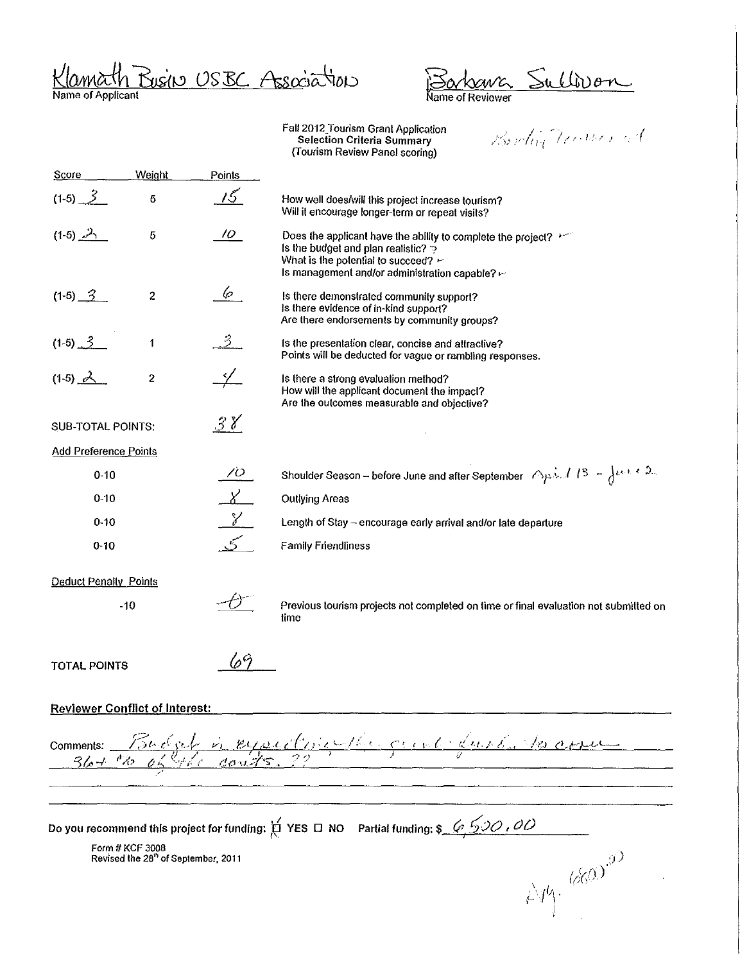Klamath Busin USBC Association

Barkener Sullivan

Bowlin Traders and

| <b>Score</b>                          | Weight                                                             | <b>Points</b>      |                                                                                                                                                                                                                           |
|---------------------------------------|--------------------------------------------------------------------|--------------------|---------------------------------------------------------------------------------------------------------------------------------------------------------------------------------------------------------------------------|
| $(1-5)$ $3$                           | 5                                                                  | 15                 | How well does/will this project increase tourism?<br>Will it encourage longer-term or repeat visits?                                                                                                                      |
| $(1-5)$ $2\gamma$                     | $\bf 5$                                                            | 10                 | Does the applicant have the ability to complete the project? $\vdash$<br>Is the budget and plan realistic?<br>What is the potential to succeed? $\leftarrow$<br>Is management and/or administration capable? $\leftarrow$ |
| $(1-5)$ $3$                           | $\boldsymbol{2}$                                                   | 6                  | Is there demonstrated community support?<br>Is there evidence of in-kind support?<br>Are there endorsements by community groups?                                                                                          |
| $(1-5)$ $3$                           | 1                                                                  | $\cdot$ 3          | Is the presentation clear, concise and attractive?<br>Points will be deducted for vague or rambling responses.                                                                                                            |
| $(1-5)$ $\sim$                        | 2                                                                  |                    | Is there a strong evaluation method?<br>How will the applicant document the impact?<br>Are the outcomes measurable and objective?                                                                                         |
| <b>SUB-TOTAL POINTS:</b>              |                                                                    | 38                 |                                                                                                                                                                                                                           |
| <b>Add Preference Points</b>          |                                                                    |                    |                                                                                                                                                                                                                           |
| $0 - 10$                              |                                                                    | 70                 | Shoulder Season - before June and after September $\bigtriangleup_{P}$ $\ldots$ / $\bigwedge_{P}$ $\cdots$ $\bigtriangleup_{P}$ $\ldots$ $\bigtriangleup_{P}$ .                                                           |
| $0 - 10$                              |                                                                    | X                  | Outlying Areas                                                                                                                                                                                                            |
| $0 - 10$                              |                                                                    | $\gamma$           | Length of Stay - encourage early arrival and/or late departure                                                                                                                                                            |
| $0 - 10$                              |                                                                    |                    | <b>Family Friendliness</b>                                                                                                                                                                                                |
| <b>Deduct Penalty Points</b>          |                                                                    |                    |                                                                                                                                                                                                                           |
|                                       | $-10$                                                              |                    | Previous tourism projects not completed on time or final evaluation not submitted on<br>time                                                                                                                              |
| <b>TOTAL POINTS</b>                   |                                                                    | $\varphi^{\alpha}$ |                                                                                                                                                                                                                           |
| <b>Reviewer Conflict of Interest:</b> |                                                                    |                    |                                                                                                                                                                                                                           |
| $36 + 25$                             |                                                                    |                    | comments: Touchel is eyectriculture out dure, to assume                                                                                                                                                                   |
|                                       |                                                                    |                    |                                                                                                                                                                                                                           |
|                                       |                                                                    |                    |                                                                                                                                                                                                                           |
|                                       |                                                                    |                    |                                                                                                                                                                                                                           |
|                                       | Form # KCF 3008<br>Revised the 28 <sup>th</sup> of September, 2011 |                    |                                                                                                                                                                                                                           |
|                                       |                                                                    |                    |                                                                                                                                                                                                                           |
|                                       |                                                                    |                    | $2\pi\sqrt{660}$                                                                                                                                                                                                          |
|                                       |                                                                    |                    |                                                                                                                                                                                                                           |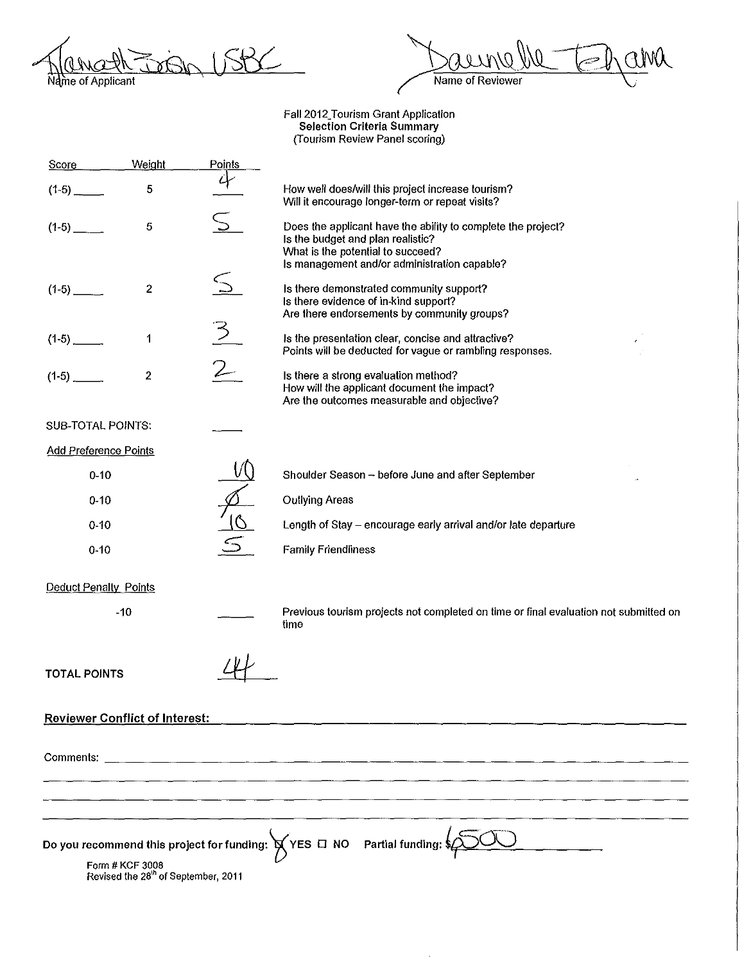On USBC Name of Applicant

 $\overline{\omega}$ ama Û - 2 Name of Reviewer

| Score                                                                                                                                                       | Weight                                | Points |                                                                                                                                                                                        |  |
|-------------------------------------------------------------------------------------------------------------------------------------------------------------|---------------------------------------|--------|----------------------------------------------------------------------------------------------------------------------------------------------------------------------------------------|--|
|                                                                                                                                                             | 5                                     | 4      | How well does/will this project increase tourism?<br>Will it encourage longer-term or repeat visits?                                                                                   |  |
|                                                                                                                                                             | 5                                     |        | Does the applicant have the ability to complete the project?<br>Is the budget and plan realistic?<br>What is the potential to succeed?<br>Is management and/or administration capable? |  |
|                                                                                                                                                             | 2                                     |        | Is there demonstrated community support?<br>Is there evidence of in-kind support?<br>Are there endorsements by community groups?                                                       |  |
|                                                                                                                                                             | 1                                     |        | Is the presentation clear, concise and attractive?<br>Points will be deducted for vague or rambling responses.                                                                         |  |
| $(1-5)$ $-$                                                                                                                                                 | 2                                     |        | Is there a strong evaluation method?<br>How will the applicant document the impact?<br>Are the outcomes measurable and objective?                                                      |  |
| <b>SUB-TOTAL POINTS:</b>                                                                                                                                    |                                       |        |                                                                                                                                                                                        |  |
| <b>Add Preference Points</b>                                                                                                                                |                                       |        |                                                                                                                                                                                        |  |
| $0 - 10$                                                                                                                                                    |                                       |        | Shoulder Season - before June and after September                                                                                                                                      |  |
| $0 - 10$                                                                                                                                                    |                                       |        | <b>Outlying Areas</b>                                                                                                                                                                  |  |
| $0 - 10$                                                                                                                                                    |                                       |        | Length of Stay - encourage early arrival and/or late departure                                                                                                                         |  |
| $0 - 10$                                                                                                                                                    |                                       |        | <b>Family Friendliness</b>                                                                                                                                                             |  |
| <b>Deduct Penalty Points</b>                                                                                                                                |                                       |        |                                                                                                                                                                                        |  |
|                                                                                                                                                             | $-10$                                 |        | Previous tourism projects not completed on time or final evaluation not submitted on<br>time                                                                                           |  |
| <b>TOTAL POINTS</b>                                                                                                                                         |                                       |        |                                                                                                                                                                                        |  |
|                                                                                                                                                             | <b>Reviewer Conflict of Interest:</b> |        |                                                                                                                                                                                        |  |
|                                                                                                                                                             |                                       |        |                                                                                                                                                                                        |  |
|                                                                                                                                                             |                                       |        |                                                                                                                                                                                        |  |
|                                                                                                                                                             |                                       |        |                                                                                                                                                                                        |  |
| Do you recommend this project for funding: $\bigtimes$ YES $\Box$ NO Partial funding:<br>Form # KCF 3008<br>Revised the 28 <sup>th</sup> of September, 2011 |                                       |        |                                                                                                                                                                                        |  |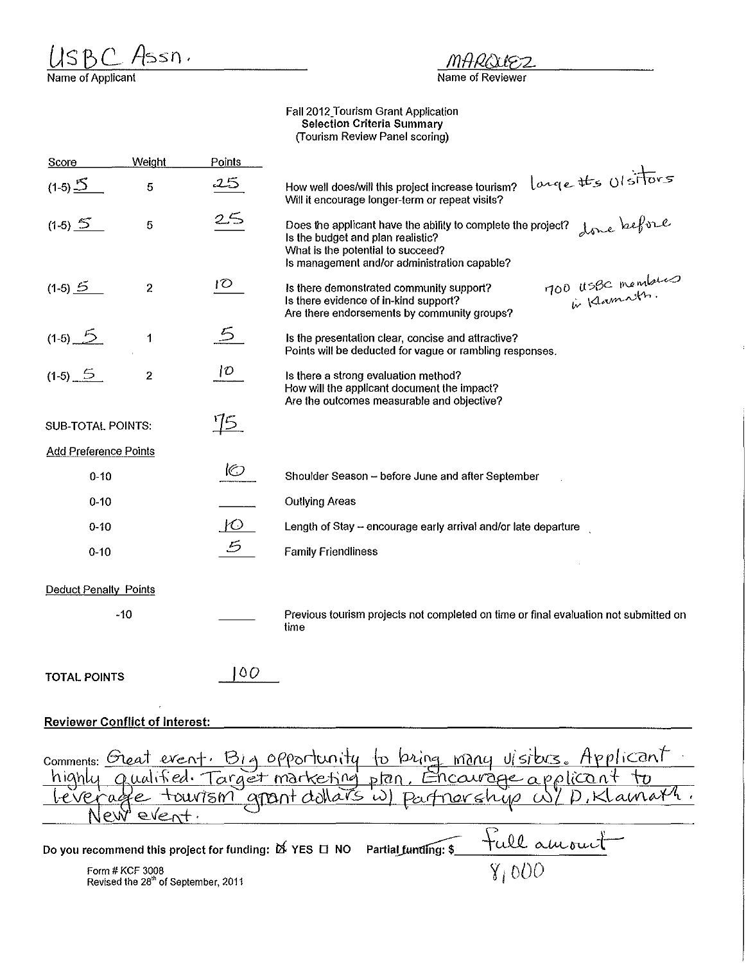$U \succeq B C A \succeq S \cap \overline{A}$ <br>Name of Applicant

Mł パフ

## Name of Reviewer

| Score                                 | Weight                                                             | Points                                                                     |                                                                                                                                                                                                       |
|---------------------------------------|--------------------------------------------------------------------|----------------------------------------------------------------------------|-------------------------------------------------------------------------------------------------------------------------------------------------------------------------------------------------------|
| $(1-5)$ <sup>5</sup>                  | 5                                                                  | 25                                                                         | large the Ulsitors<br>How well does/will this project increase tourism?<br>Will it encourage longer-term or repeat visits?                                                                            |
| $(1-5)$ 5                             | 5                                                                  | 25                                                                         | done before<br>Does the applicant have the ability to complete the project?<br>Is the budget and plan realistic?<br>What is the potential to succeed?<br>Is management and/or administration capable? |
| $(1-5)$ $\leq$                        | $\boldsymbol{2}$                                                   | 10 <sup>o</sup>                                                            | 100 USBC members<br>Is there demonstrated community support?<br>Is there evidence of in-kind support?<br>Are there endorsements by community groups?                                                  |
| $(1-5)$ $5$                           | 1                                                                  |                                                                            | Is the presentation clear, concise and attractive?<br>Points will be deducted for vague or rambling responses.                                                                                        |
| $(1-5)$ 5                             | 2                                                                  | D                                                                          | Is there a strong evaluation method?<br>How will the applicant document the impact?<br>Are the outcomes measurable and objective?                                                                     |
| <b>SUB-TOTAL POINTS:</b>              |                                                                    | $\frac{15}{2}$                                                             |                                                                                                                                                                                                       |
| <b>Add Preference Points</b>          |                                                                    |                                                                            |                                                                                                                                                                                                       |
| $0 - 10$                              |                                                                    | $\circledcirc$                                                             | Shoulder Season - before June and after September                                                                                                                                                     |
| $0 - 10$                              |                                                                    |                                                                            | <b>Outlying Areas</b>                                                                                                                                                                                 |
| $0 - 10$                              |                                                                    | $10^{-7}$                                                                  | Length of Stay - encourage early arrival and/or late departure                                                                                                                                        |
| $0 - 10$                              |                                                                    | 5                                                                          | <b>Family Friendliness</b>                                                                                                                                                                            |
| <b>Deduct Penalty Points</b>          |                                                                    |                                                                            |                                                                                                                                                                                                       |
|                                       | -10                                                                |                                                                            | Previous tourism projects not completed on time or final evaluation not submitted on<br>time                                                                                                          |
| <b>TOTAL POINTS</b>                   |                                                                    | 00                                                                         |                                                                                                                                                                                                       |
| <b>Reviewer Conflict of Interest:</b> |                                                                    |                                                                            |                                                                                                                                                                                                       |
| Comments:<br>nıanu                    | Oreat<br>event                                                     | rouv751M                                                                   | Usiters. Applicant<br>event. Big opportunity<br>prina<br>many<br>tυ<br>arget marketing plan<br>apant dollars                                                                                          |
|                                       |                                                                    | Do you recommend this project for funding: $\breve{\bowtie}$ YES $\Box$ NO | Partial funding:                                                                                                                                                                                      |
|                                       | Form # KCF 3008<br>Revised the 28 <sup>th</sup> of September, 2011 |                                                                            | $\overline{Y_i 000}$                                                                                                                                                                                  |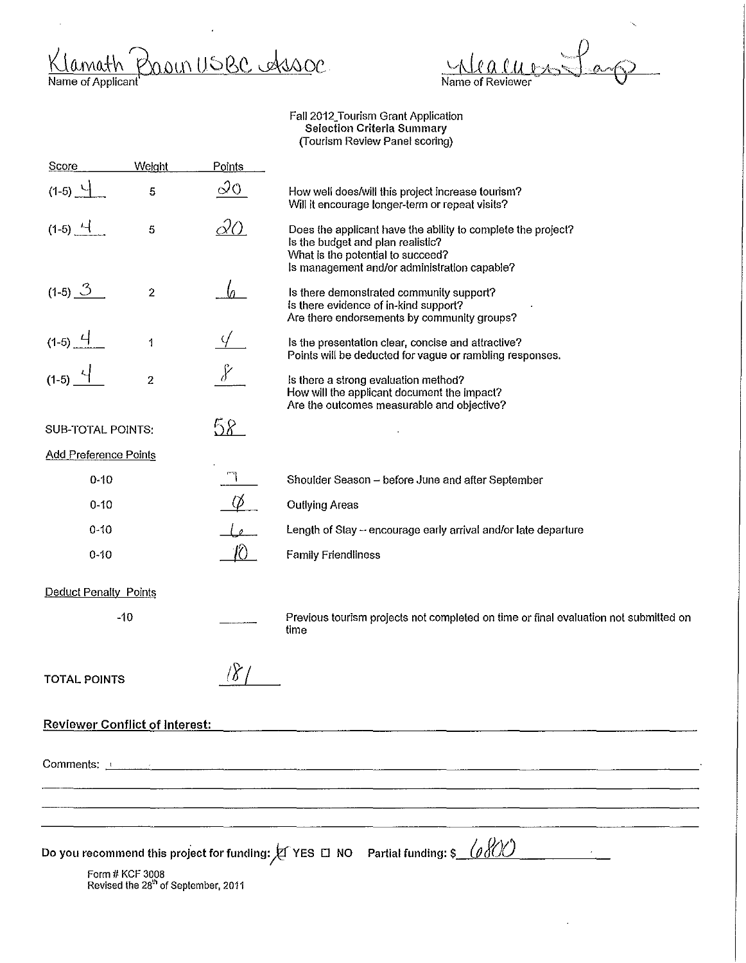$\frac{\text{Klamath}}{\text{Name of Application}}$ <u>soon usec Assoc</u> r

 $\overline{a}$ Name of Reviewer

| Score                                 | Weight                                                             | <b>Points</b> |                                                                                                                                                                                        |
|---------------------------------------|--------------------------------------------------------------------|---------------|----------------------------------------------------------------------------------------------------------------------------------------------------------------------------------------|
| $(1-5)$ $-1$                          | 5                                                                  | 20            | How well does/will this project increase tourism?<br>Will it encourage longer-term or repeat visits?                                                                                   |
| $(1-5)$ $-4$                          | $\sqrt{5}$                                                         | δ0            | Does the applicant have the ability to complete the project?<br>Is the budget and plan realistic?<br>What is the potential to succeed?<br>Is management and/or administration capable? |
| $(1-5)$ $\frac{3}{2}$                 | $\boldsymbol{2}$                                                   |               | Is there demonstrated community support?<br>Is there evidence of in-kind support?<br>Are there endorsements by community groups?                                                       |
| $(1-5)$ $^{-1}$                       | 1                                                                  |               | Is the presentation clear, concise and attractive?<br>Points will be deducted for vague or rambling responses.                                                                         |
| $(1-5)$                               | $\overline{\mathbf{c}}$                                            |               | Is there a strong evaluation method?<br>How will the applicant document the impact?<br>Are the outcomes measurable and objective?                                                      |
| <b>SUB-TOTAL POINTS:</b>              |                                                                    | $58-$         |                                                                                                                                                                                        |
| <b>Add Preference Points</b>          |                                                                    |               |                                                                                                                                                                                        |
| $0 - 10$                              |                                                                    |               | Shoulder Season - before June and after September                                                                                                                                      |
| $0 - 10$                              |                                                                    |               | <b>Outlying Areas</b>                                                                                                                                                                  |
| $0 - 10$                              |                                                                    |               | Length of Stay - encourage early arrival and/or late departure                                                                                                                         |
| $0 - 10$                              |                                                                    |               | Family Friendliness                                                                                                                                                                    |
| Deduct Penalty Points                 |                                                                    |               |                                                                                                                                                                                        |
|                                       | $-10$                                                              |               | Previous tourism projects not completed on time or final evaluation not submitted on<br>time                                                                                           |
| TOTAL POINTS                          |                                                                    |               |                                                                                                                                                                                        |
| <b>Reviewer Conflict of Interest:</b> |                                                                    |               |                                                                                                                                                                                        |
|                                       |                                                                    |               | Comments: <u>Alexander Alexander Alexander Alexander Alexander Alexander Alexander Alexander Alexander Alexander</u>                                                                   |
|                                       |                                                                    |               |                                                                                                                                                                                        |
|                                       |                                                                    |               |                                                                                                                                                                                        |
|                                       |                                                                    |               |                                                                                                                                                                                        |
|                                       | Form # KCF 3008<br>Revised the 28 <sup>th</sup> of September, 2011 |               | Do you recommend this project for funding: $\cancel{\text{E}}$ YES $\Box$ NO Partial funding: \$ $\boxed{\rho\beta}$                                                                   |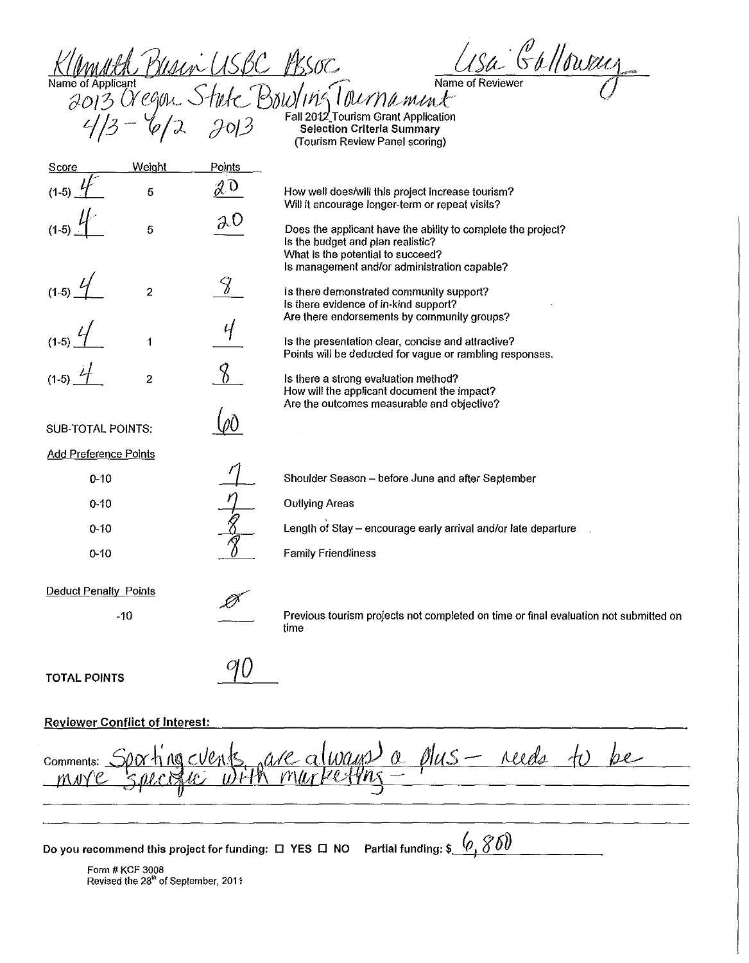k//multherman USBC F8SOC **Subject of Allowing** 

*JO13* Oregon Stute BOW/In's I ournament with the strate of the Source BOW/In's I ournament Application Contraction Contraction Contraction Contraction Contraction Contraction Contraction Contraction Contraction Contractio (Tourism Review Panel scoring)

|                                                |                                                 |        | (Township inventory in anti-security)                                                                                                                                                  |
|------------------------------------------------|-------------------------------------------------|--------|----------------------------------------------------------------------------------------------------------------------------------------------------------------------------------------|
| Score                                          | Weight                                          | Points |                                                                                                                                                                                        |
| $(1-5)$                                        | 5                                               | J O    | How well does/will this project increase tourism?<br>Will it encourage longer-term or repeat visits?                                                                                   |
| $(1-5)$                                        | 5                                               | эO     | Does the applicant have the ability to complete the project?<br>Is the budget and plan realistic?<br>What is the potential to succeed?<br>Is management and/or administration capable? |
| $(1-5)$                                        | $\overline{\mathbf{c}}$                         |        | Is there demonstrated community support?<br>Is there evidence of in-kind support?<br>Are there endorsements by community groups?                                                       |
|                                                | 1                                               |        | Is the presentation clear, concise and attractive?<br>Points will be deducted for vague or rambling responses.                                                                         |
|                                                | $\overline{\mathbf{c}}$                         |        | Is there a strong evaluation method?<br>How will the applicant document the impact?<br>Are the outcomes measurable and objective?                                                      |
| SUB-TOTAL POINTS:                              |                                                 |        |                                                                                                                                                                                        |
| <b>Add Preference Points</b>                   |                                                 |        |                                                                                                                                                                                        |
| $0 - 10$                                       |                                                 |        | Shoulder Season - before June and after September                                                                                                                                      |
| $0 - 10$                                       |                                                 |        | <b>Outlying Areas</b>                                                                                                                                                                  |
| $0 - 10$                                       |                                                 |        | Length of Stay - encourage early arrival and/or late departure                                                                                                                         |
| $0 - 10$                                       |                                                 |        | <b>Family Friendliness</b>                                                                                                                                                             |
| <b>Deduct Penalty Points</b>                   | $-10$                                           |        | Previous tourism projects not completed on time or final evaluation not submitted on<br>time                                                                                           |
| <b>TOTAL POINTS</b>                            |                                                 |        |                                                                                                                                                                                        |
| <b>Reviewer Conflict of Interest:</b>          |                                                 |        |                                                                                                                                                                                        |
| S are always a plus - reeds<br>pe<br>Comments: |                                                 |        |                                                                                                                                                                                        |
|                                                |                                                 |        |                                                                                                                                                                                        |
|                                                |                                                 |        | Do you recommend this project for funding: □ YES □ NO Partial funding: \$                                                                                                              |
|                                                | Form # KCF 3008                                 |        |                                                                                                                                                                                        |
|                                                | Revised the 28 <sup>th</sup> of September, 2011 |        |                                                                                                                                                                                        |